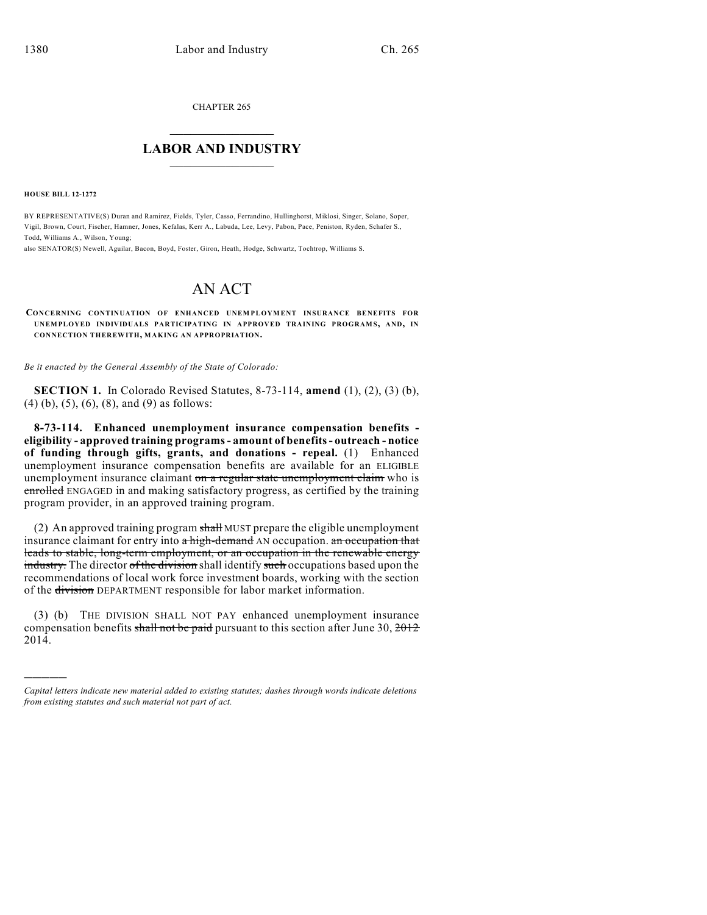CHAPTER 265

## $\overline{\phantom{a}}$  . The set of the set of the set of the set of the set of the set of the set of the set of the set of the set of the set of the set of the set of the set of the set of the set of the set of the set of the set o **LABOR AND INDUSTRY**  $\frac{1}{\sqrt{2}}$  ,  $\frac{1}{\sqrt{2}}$  ,  $\frac{1}{\sqrt{2}}$  ,  $\frac{1}{\sqrt{2}}$  ,  $\frac{1}{\sqrt{2}}$  ,  $\frac{1}{\sqrt{2}}$

**HOUSE BILL 12-1272**

)))))

BY REPRESENTATIVE(S) Duran and Ramirez, Fields, Tyler, Casso, Ferrandino, Hullinghorst, Miklosi, Singer, Solano, Soper, Vigil, Brown, Court, Fischer, Hamner, Jones, Kefalas, Kerr A., Labuda, Lee, Levy, Pabon, Pace, Peniston, Ryden, Schafer S., Todd, Williams A., Wilson, Young;

also SENATOR(S) Newell, Aguilar, Bacon, Boyd, Foster, Giron, Heath, Hodge, Schwartz, Tochtrop, Williams S.

## AN ACT

**CONCERNING CONTINUATION OF ENHANCED UNEM PLOYMENT INSURANCE BENEFITS FOR UNEMPLOYED INDIVIDUALS PARTICIPATING IN APPROVED TRAINING PROGRAMS, AND, IN CONNECTION THEREWITH, MAKING AN APPROPRIATION.**

*Be it enacted by the General Assembly of the State of Colorado:*

**SECTION 1.** In Colorado Revised Statutes, 8-73-114, **amend** (1), (2), (3) (b), (4) (b), (5), (6), (8), and (9) as follows:

**8-73-114. Enhanced unemployment insurance compensation benefits eligibility - approved training programs- amount of benefits- outreach - notice of funding through gifts, grants, and donations - repeal.** (1) Enhanced unemployment insurance compensation benefits are available for an ELIGIBLE unemployment insurance claimant on a regular state unemployment claim who is enrolled ENGAGED in and making satisfactory progress, as certified by the training program provider, in an approved training program.

(2) An approved training program  $s$ hall MUST prepare the eligible unemployment insurance claimant for entry into a high-demand AN occupation. an occupation that leads to stable, long-term employment, or an occupation in the renewable energy industry. The director of the division shall identify such occupations based upon the recommendations of local work force investment boards, working with the section of the division DEPARTMENT responsible for labor market information.

(3) (b) THE DIVISION SHALL NOT PAY enhanced unemployment insurance compensation benefits shall not be paid pursuant to this section after June 30,  $2012$ 2014.

*Capital letters indicate new material added to existing statutes; dashes through words indicate deletions from existing statutes and such material not part of act.*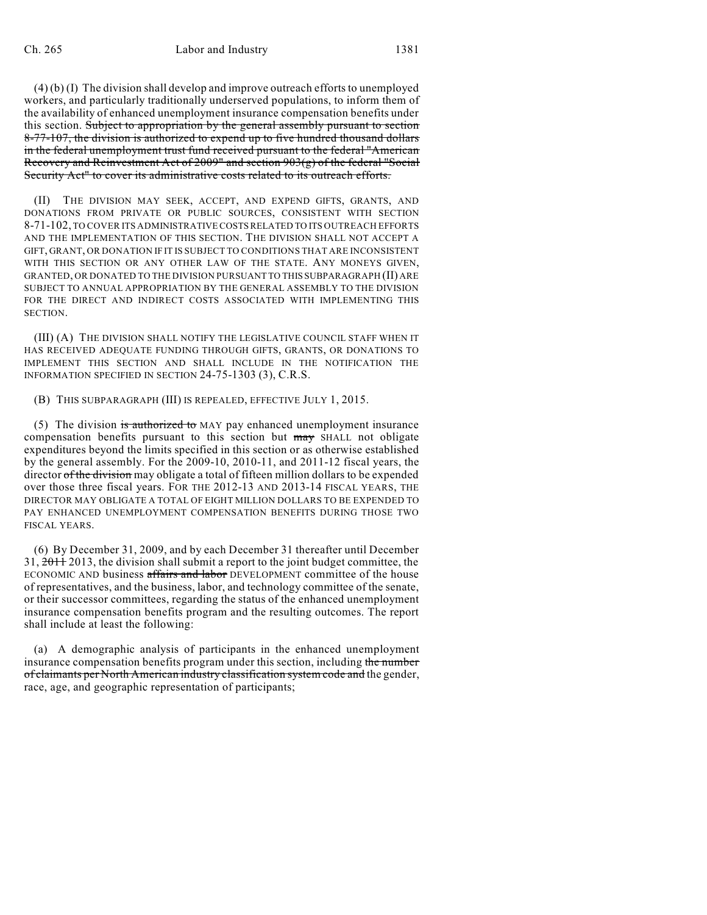(4) (b) (I) The division shall develop and improve outreach efforts to unemployed workers, and particularly traditionally underserved populations, to inform them of the availability of enhanced unemployment insurance compensation benefits under this section. Subject to appropriation by the general assembly pursuant to section 8-77-107, the division is authorized to expend up to five hundred thousand dollars in the federal unemployment trust fund received pursuant to the federal "American Recovery and Reinvestment Act of 2009" and section 903(g) of the federal "Social Security Act" to cover its administrative costs related to its outreach efforts.

(II) THE DIVISION MAY SEEK, ACCEPT, AND EXPEND GIFTS, GRANTS, AND DONATIONS FROM PRIVATE OR PUBLIC SOURCES, CONSISTENT WITH SECTION 8-71-102, TO COVER ITS ADMINISTRATIVE COSTSRELATED TO ITS OUTREACH EFFORTS AND THE IMPLEMENTATION OF THIS SECTION. THE DIVISION SHALL NOT ACCEPT A GIFT, GRANT, OR DONATION IF IT IS SUBJECT TO CONDITIONS THAT ARE INCONSISTENT WITH THIS SECTION OR ANY OTHER LAW OF THE STATE. ANY MONEYS GIVEN, GRANTED, OR DONATED TO THE DIVISION PURSUANT TO THIS SUBPARAGRAPH (II) ARE SUBJECT TO ANNUAL APPROPRIATION BY THE GENERAL ASSEMBLY TO THE DIVISION FOR THE DIRECT AND INDIRECT COSTS ASSOCIATED WITH IMPLEMENTING THIS SECTION.

(III) (A) THE DIVISION SHALL NOTIFY THE LEGISLATIVE COUNCIL STAFF WHEN IT HAS RECEIVED ADEQUATE FUNDING THROUGH GIFTS, GRANTS, OR DONATIONS TO IMPLEMENT THIS SECTION AND SHALL INCLUDE IN THE NOTIFICATION THE INFORMATION SPECIFIED IN SECTION 24-75-1303 (3), C.R.S.

## (B) THIS SUBPARAGRAPH (III) IS REPEALED, EFFECTIVE JULY 1, 2015.

(5) The division is authorized to MAY pay enhanced unemployment insurance compensation benefits pursuant to this section but may SHALL not obligate expenditures beyond the limits specified in this section or as otherwise established by the general assembly. For the 2009-10, 2010-11, and 2011-12 fiscal years, the director of the division may obligate a total of fifteen million dollars to be expended over those three fiscal years. FOR THE 2012-13 AND 2013-14 FISCAL YEARS, THE DIRECTOR MAY OBLIGATE A TOTAL OF EIGHT MILLION DOLLARS TO BE EXPENDED TO PAY ENHANCED UNEMPLOYMENT COMPENSATION BENEFITS DURING THOSE TWO FISCAL YEARS.

(6) By December 31, 2009, and by each December 31 thereafter until December 31, 2011 2013, the division shall submit a report to the joint budget committee, the ECONOMIC AND business affairs and labor DEVELOPMENT committee of the house of representatives, and the business, labor, and technology committee of the senate, or their successor committees, regarding the status of the enhanced unemployment insurance compensation benefits program and the resulting outcomes. The report shall include at least the following:

(a) A demographic analysis of participants in the enhanced unemployment insurance compensation benefits program under this section, including the number of claimants per North American industry classification system code and the gender, race, age, and geographic representation of participants;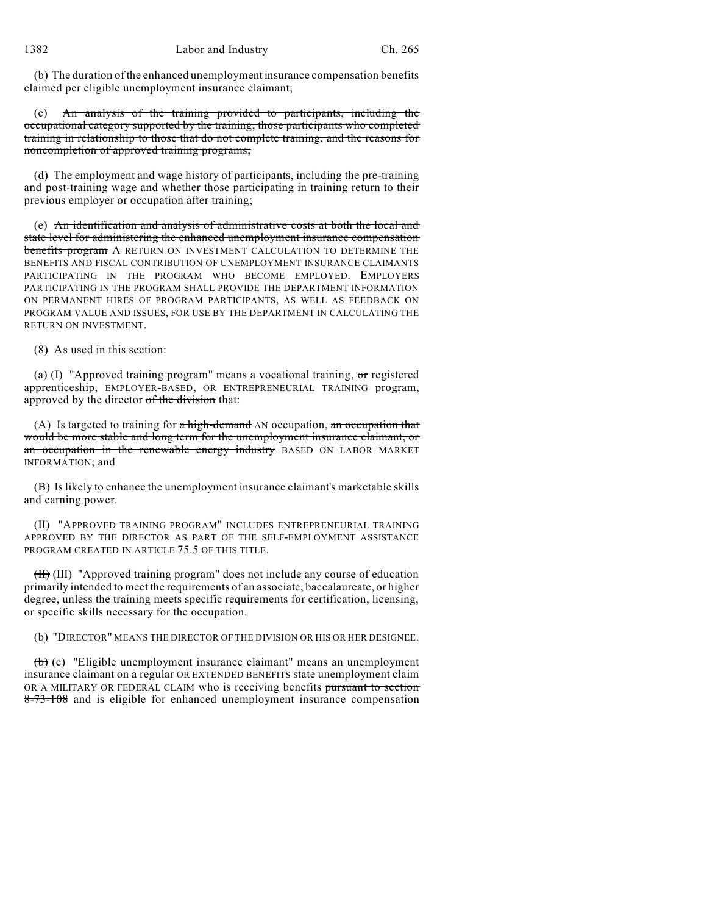(b) The duration of the enhanced unemployment insurance compensation benefits claimed per eligible unemployment insurance claimant;

(c) An analysis of the training provided to participants, including the occupational category supported by the training, those participants who completed training in relationship to those that do not complete training, and the reasons for noncompletion of approved training programs;

(d) The employment and wage history of participants, including the pre-training and post-training wage and whether those participating in training return to their previous employer or occupation after training;

(e) An identification and analysis of administrative costs at both the local and state level for administering the enhanced unemployment insurance compensation benefits program A RETURN ON INVESTMENT CALCULATION TO DETERMINE THE BENEFITS AND FISCAL CONTRIBUTION OF UNEMPLOYMENT INSURANCE CLAIMANTS PARTICIPATING IN THE PROGRAM WHO BECOME EMPLOYED. EMPLOYERS PARTICIPATING IN THE PROGRAM SHALL PROVIDE THE DEPARTMENT INFORMATION ON PERMANENT HIRES OF PROGRAM PARTICIPANTS, AS WELL AS FEEDBACK ON PROGRAM VALUE AND ISSUES, FOR USE BY THE DEPARTMENT IN CALCULATING THE RETURN ON INVESTMENT.

(8) As used in this section:

(a) (I) "Approved training program" means a vocational training, or registered apprenticeship, EMPLOYER-BASED, OR ENTREPRENEURIAL TRAINING program, approved by the director of the division that:

(A) Is targeted to training for  $a$  high-demand AN occupation, an occupation that would be more stable and long term for the unemployment insurance claimant, or an occupation in the renewable energy industry BASED ON LABOR MARKET INFORMATION; and

(B) Is likely to enhance the unemployment insurance claimant's marketable skills and earning power.

(II) "APPROVED TRAINING PROGRAM" INCLUDES ENTREPRENEURIAL TRAINING APPROVED BY THE DIRECTOR AS PART OF THE SELF-EMPLOYMENT ASSISTANCE PROGRAM CREATED IN ARTICLE 75.5 OF THIS TITLE.

(II) (III) "Approved training program" does not include any course of education primarily intended to meet the requirements of an associate, baccalaureate, or higher degree, unless the training meets specific requirements for certification, licensing, or specific skills necessary for the occupation.

(b) "DIRECTOR" MEANS THE DIRECTOR OF THE DIVISION OR HIS OR HER DESIGNEE.

(b) (c) "Eligible unemployment insurance claimant" means an unemployment insurance claimant on a regular OR EXTENDED BENEFITS state unemployment claim OR A MILITARY OR FEDERAL CLAIM who is receiving benefits pursuant to section 8-73-108 and is eligible for enhanced unemployment insurance compensation